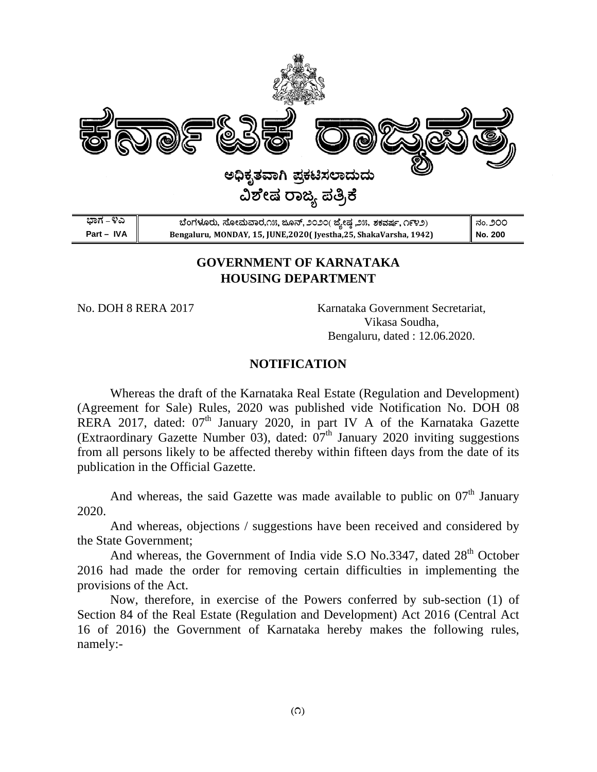

# **GOVERNMENT OF KARNATAKA HOUSING DEPARTMENT**

N No. DOH 8 8 RERA 20 17

Karnataka Government Secretariat, Bengaluru, dated: 12.06.2020. Vikas a Soudha,

## **NOTIF FICATION N**

RERA 2017, dated: 07<sup>th</sup> January 2020, in part IV A of the Karnataka Gazette publication in the Official Gazette. Whereas the draft of the Karnataka Real Estate (Regulation and Development) (Agreement for Sale) Rules, 2020 was published vide Notification No. DOH 08 (Extraordinary Gazette Number 03), dated:  $07<sup>th</sup>$  January 2020 inviting suggestions from all persons likely to be affected thereby within fifteen days from the date of its

2 2020. And whereas, the said Gazette was made available to public on  $07<sup>th</sup>$  January

the State Government; And whereas, objections / suggestions have been received and considered by

2016 had made the order for removing certain difficulties in implementing the provisions of the Act. And whereas, the Government of India vide S.O No.3347, dated  $28<sup>th</sup>$  October

n namely:- Now, therefore, in exercise of the Powers conferred by sub-section (1) of Section 84 of the Real Estate (Regulation and Development) Act 2016 (Central Act 16 of 2016) the Government of Karnataka hereby makes the following rules,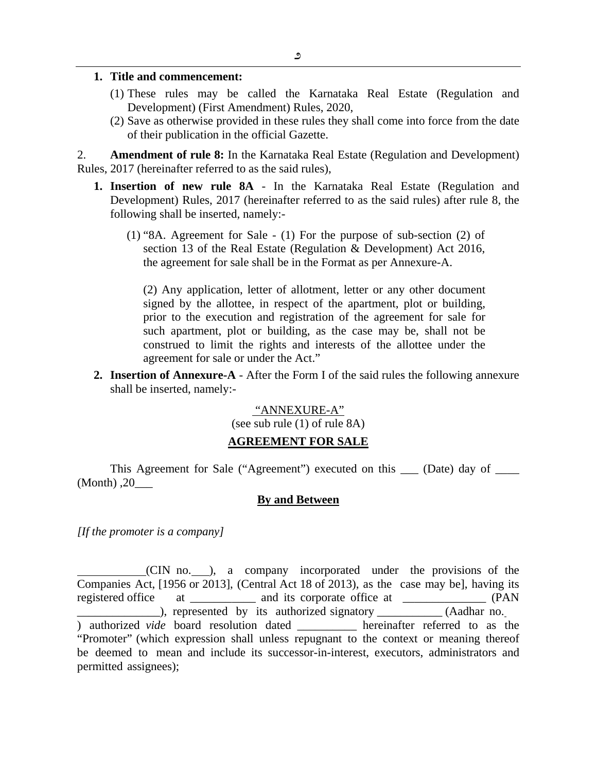#### **1. Title and commencement:**

- (1) These rules may be called the Karnataka Real Estate (Regulation and Development) (First Amendment) Rules, 2020,
- (2) Save as otherwise provided in these rules they shall come into force from the date of their publication in the official Gazette.

2. **Amendment of rule 8:** In the Karnataka Real Estate (Regulation and Development) Rules, 2017 (hereinafter referred to as the said rules),

- **1. Insertion of new rule 8A** In the Karnataka Real Estate (Regulation and Development) Rules, 2017 (hereinafter referred to as the said rules) after rule 8, the following shall be inserted, namely:-
	- (1) "8A. Agreement for Sale (1) For the purpose of sub-section (2) of section 13 of the Real Estate (Regulation & Development) Act 2016, the agreement for sale shall be in the Format as per Annexure-A.

(2) Any application, letter of allotment, letter or any other document signed by the allottee, in respect of the apartment, plot or building, prior to the execution and registration of the agreement for sale for such apartment, plot or building, as the case may be, shall not be construed to limit the rights and interests of the allottee under the agreement for sale or under the Act."

**2. Insertion of Annexure-A** - After the Form I of the said rules the following annexure shall be inserted, namely:-

#### "ANNEXURE-A"

(see sub rule (1) of rule 8A)

#### **AGREEMENT FOR SALE**

This Agreement for Sale ("Agreement") executed on this \_\_\_ (Date) day of \_\_\_\_  $(Month)$ ,  $20$ 

#### **By and Between**

*[If the promoter is a company]* 

(CIN no. ), a company incorporated under the provisions of the Companies Act, [1956 or 2013], (Central Act 18 of 2013), as the case may be], having its registered office at \_\_\_\_\_\_\_\_\_\_\_ and its corporate office at \_\_\_\_\_\_\_\_\_\_\_\_\_\_\_ (PAN ), represented by its authorized signatory \_\_\_\_\_\_\_\_\_\_ (Aadhar no. ) authorized *vide* board resolution dated **hereinafter** referred to as the "Promoter" (which expression shall unless repugnant to the context or meaning thereof be deemed to mean and include its successor-in-interest, executors, administrators and permitted assignees);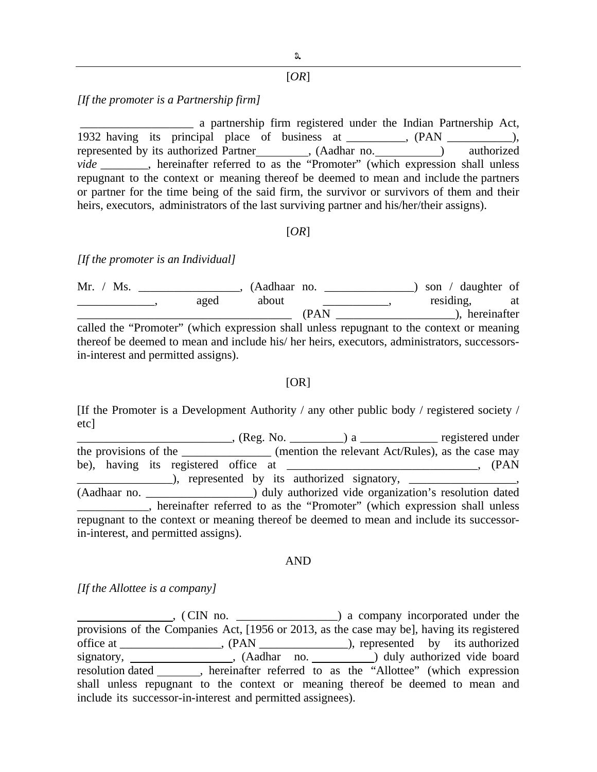### [*OR*]

#### *[If the promoter is a Partnership firm]*

 \_\_\_\_\_\_\_\_\_\_\_\_\_\_\_\_\_\_\_ a partnership firm registered under the Indian Partnership Act, 1932 having its principal place of business at \_\_\_\_\_\_\_, (PAN \_\_\_\_\_\_\_\_), represented by its authorized Partner (Aadhar no. ) authorized *vide* \_\_\_\_\_\_\_\_, hereinafter referred to as the "Promoter" (which expression shall unless repugnant to the context or meaning thereof be deemed to mean and include the partners or partner for the time being of the said firm, the survivor or survivors of them and their heirs, executors, administrators of the last surviving partner and his/her/their assigns).

#### [*OR*]

#### *[If the promoter is an Individual]*

Mr. / Ms. \_\_\_\_\_\_\_\_\_\_\_\_\_\_\_\_, (Aadhaar no. \_\_\_\_\_\_\_\_\_\_\_\_\_\_\_) son / daughter of example aged about <u>example about</u> the set of the set of the set of the set of the set of the set of the set of the set of the set of the set of the set of the set of the set of the set of the set of the set of the set of \_\_\_\_\_\_\_\_\_\_\_\_\_\_\_\_\_\_\_\_\_\_\_\_\_\_\_\_\_\_\_\_\_\_\_\_ (PAN \_\_\_\_\_\_\_\_\_\_\_\_\_\_\_\_\_\_\_\_), hereinafter called the "Promoter" (which expression shall unless repugnant to the context or meaning thereof be deemed to mean and include his/ her heirs, executors, administrators, successorsin-interest and permitted assigns).

#### $[OR]$

[If the Promoter is a Development Authority / any other public body / registered society / etc]

\_\_\_\_\_\_\_\_\_\_\_\_\_\_\_\_\_\_\_\_\_\_\_\_\_\_, (Reg. No. \_\_\_\_\_\_\_\_\_) a \_\_\_\_\_\_\_\_\_\_\_\_\_ registered under the provisions of the  $($ mention the relevant Act/Rules), as the case may be), having its registered office at \_\_\_\_\_\_\_\_\_\_\_\_\_\_\_\_\_\_\_\_\_\_\_\_\_\_\_\_\_\_\_, (PAN \_\_\_\_\_\_\_\_\_\_\_\_\_\_\_\_), represented by its authorized signatory, \_\_\_\_\_\_\_\_\_\_\_\_\_\_\_\_\_\_, (Aadhaar no. \_\_\_\_\_\_\_\_\_\_\_\_\_\_\_\_\_\_) duly authorized vide organization's resolution dated \_\_\_\_\_\_\_\_\_\_\_\_, hereinafter referred to as the "Promoter" (which expression shall unless repugnant to the context or meaning thereof be deemed to mean and include its successorin-interest, and permitted assigns).

#### AND

*[If the Allottee is a company]* 

 , ( CIN no. \_\_\_\_\_\_\_\_\_\_\_\_\_\_\_\_\_) a company incorporated under the provisions of the Companies Act, [1956 or 2013, as the case may be], having its registered office at \_\_\_\_\_\_\_\_\_\_\_\_\_\_\_\_\_, (PAN \_\_\_\_\_\_\_\_\_\_\_\_\_\_\_), represented by its authorized signatory, \_\_\_\_\_\_\_\_\_\_\_\_\_\_\_, (Aadhar no. \_\_\_\_\_\_\_\_\_) duly authorized vide board resolution dated \_\_\_\_\_\_\_, hereinafter referred to as the "Allottee" (which expression shall unless repugnant to the context or meaning thereof be deemed to mean and include its successor-in-interest and permitted assignees).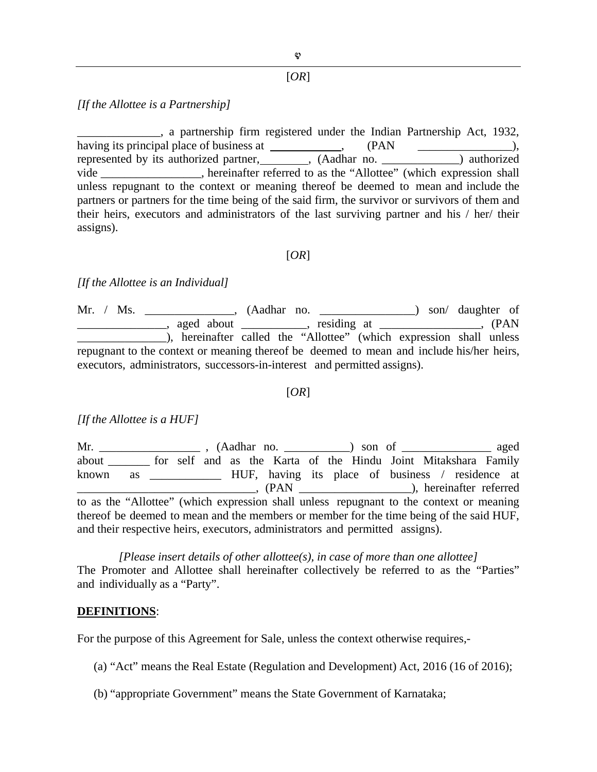## [*OR*]

**4** 

#### *[If the Allottee is a Partnership]*

\_\_\_\_\_\_\_\_\_\_\_\_\_\_, a partnership firm registered under the Indian Partnership Act, 1932, having its principal place of business at  $( PAN )$ ,  $( PAN )$ , represented by its authorized partner, \_\_\_\_\_\_\_, (Aadhar no. \_\_\_\_\_\_\_\_\_\_\_\_) authorized vide \_\_\_\_\_\_\_\_\_\_\_\_\_, hereinafter referred to as the "Allottee" (which expression shall unless repugnant to the context or meaning thereof be deemed to mean and include the partners or partners for the time being of the said firm, the survivor or survivors of them and their heirs, executors and administrators of the last surviving partner and his / her/ their assigns).

#### [*OR*]

#### *[If the Allottee is an Individual]*

Mr. / Ms. \_\_\_\_\_\_\_\_\_\_\_\_\_\_, (Aadhar no. \_\_\_\_\_\_\_\_\_\_\_\_\_\_\_\_) son/ daughter of \_\_\_\_\_\_\_\_\_\_\_\_\_\_\_, aged about \_\_\_\_\_\_\_\_\_\_\_, residing at \_\_\_\_\_\_\_\_\_\_\_\_\_\_\_\_\_, (PAN \_\_\_\_\_\_\_\_\_\_\_\_\_\_\_), hereinafter called the "Allottee" (which expression shall unless repugnant to the context or meaning thereof be deemed to mean and include his/her heirs, executors, administrators, successors-in-interest and permitted assigns).

#### [*OR*]

*[If the Allottee is a HUF]* 

Mr. \_\_\_\_\_\_\_\_\_\_\_\_\_\_\_\_\_\_ , (Aadhar no. \_\_\_\_\_\_\_\_\_\_\_) son of \_\_\_\_\_\_\_\_\_\_\_\_\_\_\_ aged about \_\_\_\_\_\_\_ for self and as the Karta of the Hindu Joint Mitakshara Family known as \_\_\_\_\_\_\_\_\_\_\_\_ HUF, having its place of business / residence at \_\_\_\_\_\_\_\_\_\_\_\_\_\_\_\_\_\_\_\_\_\_\_\_\_\_\_\_\_\_, (PAN \_\_\_\_\_\_\_\_\_\_\_\_\_\_\_\_\_\_\_), hereinafter referred to as the "Allottee" (which expression shall unless repugnant to the context or meaning thereof be deemed to mean and the members or member for the time being of the said HUF, and their respective heirs, executors, administrators and permitted assigns).

*[Please insert details of other allottee(s), in case of more than one allottee]*  The Promoter and Allottee shall hereinafter collectively be referred to as the "Parties" and individually as a "Party".

#### **DEFINITIONS**:

For the purpose of this Agreement for Sale, unless the context otherwise requires,-

(a) "Act" means the Real Estate (Regulation and Development) Act, 2016 (16 of 2016);

(b) "appropriate Government" means the State Government of Karnataka;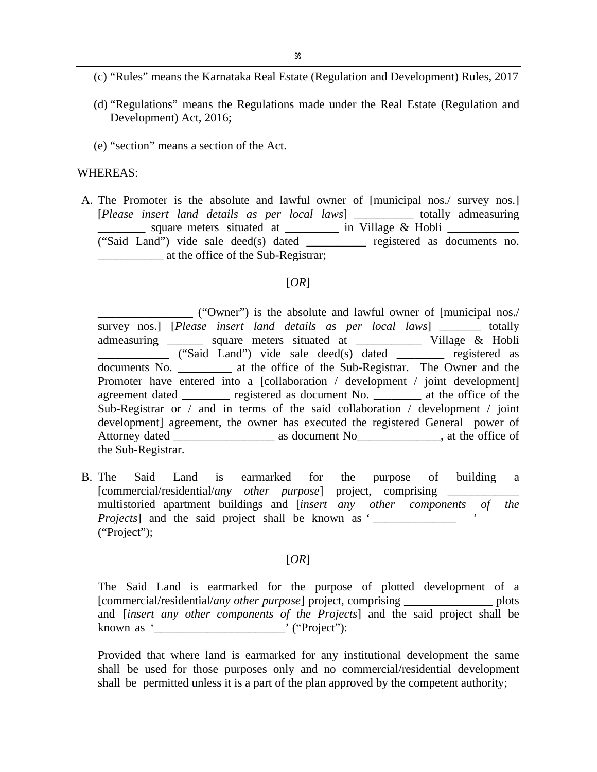- (c) "Rules" means the Karnataka Real Estate (Regulation and Development) Rules, 2017
- (d) "Regulations" means the Regulations made under the Real Estate (Regulation and Development) Act, 2016;
- (e) "section" means a section of the Act.

#### WHEREAS:

A. The Promoter is the absolute and lawful owner of [municipal nos./ survey nos.] [*Please insert land details as per local laws*] \_\_\_\_\_\_\_\_\_\_ totally admeasuring  $\equiv$  square meters situated at  $\equiv$  in Village & Hobli  $\equiv$ ("Said Land") vide sale deed(s) dated \_\_\_\_\_\_\_\_\_\_ registered as documents no. \_\_\_\_\_\_\_\_\_\_\_ at the office of the Sub-Registrar;

#### [*OR*]

\_\_\_\_\_\_\_\_\_\_\_\_\_\_\_\_ ("Owner") is the absolute and lawful owner of [municipal nos./ survey nos.] [*Please insert land details as per local laws*] \_\_\_\_\_\_\_ totally admeasuring \_\_\_\_\_\_ square meters situated at \_\_\_\_\_\_\_\_\_\_\_ Village & Hobli \_\_\_\_\_\_\_\_\_\_\_\_ ("Said Land") vide sale deed(s) dated \_\_\_\_\_\_\_\_ registered as documents No. \_\_\_\_\_\_\_\_\_\_ at the office of the Sub-Registrar. The Owner and the Promoter have entered into a [collaboration / development / joint development] agreement dated entering registered as document No. 2004 at the office of the Sub-Registrar or / and in terms of the said collaboration / development / joint development] agreement, the owner has executed the registered General power of Attorney dated \_\_\_\_\_\_\_\_\_\_\_\_\_\_\_\_\_ as document No\_\_\_\_\_\_\_\_\_\_\_\_\_\_, at the office of the Sub-Registrar.

B. The Said Land is earmarked for the purpose of building a [commercial/residential/any other purpose] project, comprising \_ multistoried apartment buildings and [*insert any other components of the Projects* and the said project shall be known as ' ("Project");

### [*OR*]

The Said Land is earmarked for the purpose of plotted development of a [commercial/residential/*any other purpose*] project, comprising \_\_\_\_\_\_\_\_\_\_\_\_\_\_\_ plots and [*insert any other components of the Projects*] and the said project shall be known as '\_\_\_\_\_\_\_\_\_\_\_\_\_\_\_\_\_\_\_\_\_\_' ("Project"):

Provided that where land is earmarked for any institutional development the same shall be used for those purposes only and no commercial/residential development shall be permitted unless it is a part of the plan approved by the competent authority;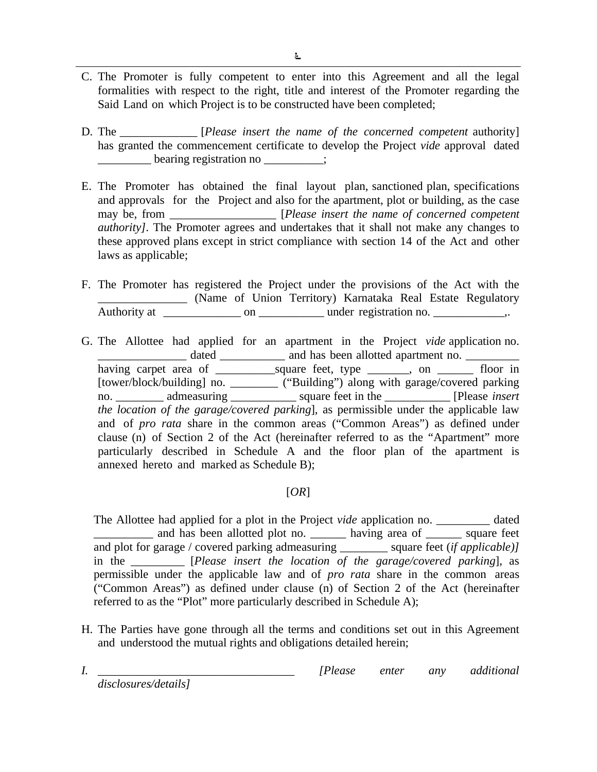- C. The Promoter is fully competent to enter into this Agreement and all the legal formalities with respect to the right, title and interest of the Promoter regarding the Said Land on which Project is to be constructed have been completed;
- D. The \_\_\_\_\_\_\_\_\_\_\_\_\_ [*Please insert the name of the concerned competent* authority] has granted the commencement certificate to develop the Project *vide* approval dated \_\_\_\_\_\_\_\_\_ bearing registration no \_\_\_\_\_\_\_\_\_\_;
- E. The Promoter has obtained the final layout plan, sanctioned plan, specifications and approvals for the Project and also for the apartment, plot or building, as the case may be, from \_\_\_\_\_\_\_\_\_\_\_\_\_\_\_\_\_\_\_\_ [*Please insert the name of concerned competent authority]*. The Promoter agrees and undertakes that it shall not make any changes to these approved plans except in strict compliance with section 14 of the Act and other laws as applicable;
- F. The Promoter has registered the Project under the provisions of the Act with the \_\_\_\_\_\_\_\_\_\_\_\_\_\_\_ (Name of Union Territory) Karnataka Real Estate Regulatory Authority at \_\_\_\_\_\_\_\_\_\_\_\_\_ on \_\_\_\_\_\_\_\_\_\_\_ under registration no. \_\_\_\_\_\_\_\_\_\_\_\_,.
- G. The Allottee had applied for an apartment in the Project *vide* application no. dated \_\_\_\_\_\_\_\_\_\_\_\_\_ and has been allotted apartment no. having carpet area of \_\_\_\_\_\_\_\_\_\_square feet, type \_\_\_\_\_\_\_, on \_\_\_\_\_\_ floor in [tower/block/building] no. \_\_\_\_\_\_\_\_ ("Building") along with garage/covered parking no. \_\_\_\_\_\_\_\_ admeasuring \_\_\_\_\_\_\_\_\_\_\_ square feet in the \_\_\_\_\_\_\_\_\_\_\_ [Please *insert the location of the garage/covered parking*], as permissible under the applicable law and of *pro rata* share in the common areas ("Common Areas") as defined under clause (n) of Section 2 of the Act (hereinafter referred to as the "Apartment" more particularly described in Schedule A and the floor plan of the apartment is annexed hereto and marked as Schedule B);

# [*OR*]

The Allottee had applied for a plot in the Project *vide* application no. \_\_\_\_\_\_\_\_\_ dated \_\_\_\_\_\_\_\_\_\_ and has been allotted plot no. \_\_\_\_\_\_ having area of \_\_\_\_\_\_ square feet and plot for garage / covered parking admeasuring \_\_\_\_\_\_\_\_ square feet (*if applicable)]*  in the \_\_\_\_\_\_\_\_\_ [*Please insert the location of the garage/covered parking*], as permissible under the applicable law and of *pro rata* share in the common areas ("Common Areas") as defined under clause (n) of Section 2 of the Act (hereinafter referred to as the "Plot" more particularly described in Schedule A);

H. The Parties have gone through all the terms and conditions set out in this Agreement and understood the mutual rights and obligations detailed herein;

*I.* \_\_\_\_\_\_\_\_\_\_\_\_\_\_\_\_\_\_\_\_\_\_\_\_\_\_\_\_\_\_\_\_\_ *[Please enter any additional* 

*disclosures/details]*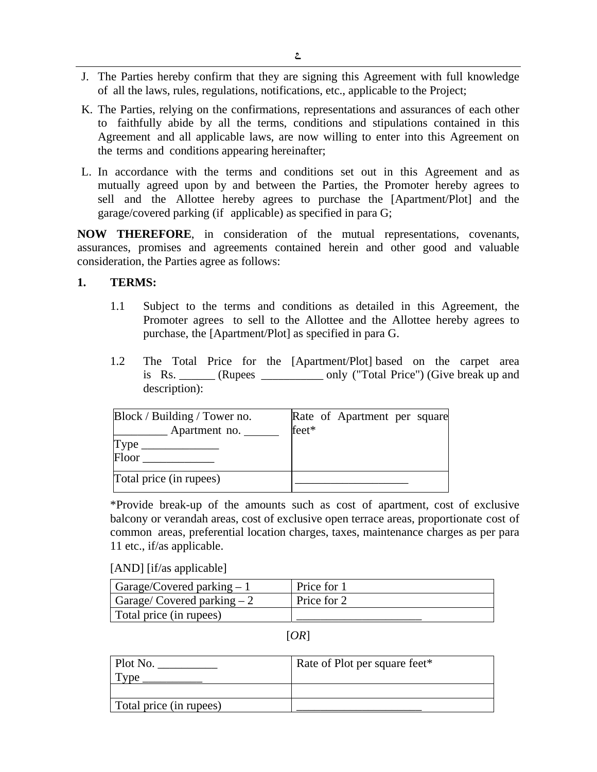- J. The Parties hereby confirm that they are signing this Agreement with full knowledge of all the laws, rules, regulations, notifications, etc., applicable to the Project;
- K. The Parties, relying on the confirmations, representations and assurances of each other to faithfully abide by all the terms, conditions and stipulations contained in this Agreement and all applicable laws, are now willing to enter into this Agreement on the terms and conditions appearing hereinafter;
- L. In accordance with the terms and conditions set out in this Agreement and as mutually agreed upon by and between the Parties, the Promoter hereby agrees to sell and the Allottee hereby agrees to purchase the [Apartment/Plot] and the garage/covered parking (if applicable) as specified in para G;

**NOW THEREFORE**, in consideration of the mutual representations, covenants, assurances, promises and agreements contained herein and other good and valuable consideration, the Parties agree as follows:

### **1. TERMS:**

- 1.1 Subject to the terms and conditions as detailed in this Agreement, the Promoter agrees to sell to the Allottee and the Allottee hereby agrees to purchase, the [Apartment/Plot] as specified in para G.
- 1.2 The Total Price for the [Apartment/Plot] based on the carpet area is Rs. \_\_\_\_\_\_ (Rupees \_\_\_\_\_\_\_\_\_\_\_ only ("Total Price") (Give break up and description):

| Block / Building / Tower no. |       | Rate of Apartment per square |  |
|------------------------------|-------|------------------------------|--|
| Apartment no.                | feet* |                              |  |
| Type<br>Floor                |       |                              |  |
| Total price (in rupees)      |       |                              |  |

\*Provide break-up of the amounts such as cost of apartment, cost of exclusive balcony or verandah areas, cost of exclusive open terrace areas, proportionate cost of common areas, preferential location charges, taxes, maintenance charges as per para 11 etc., if/as applicable.

[AND] [if/as applicable]

| $\vert$ Garage/Covered parking $-1$  | Price for 1 |
|--------------------------------------|-------------|
| $\vert$ Garage/ Covered parking $-2$ | Price for 2 |
| Total price (in rupees)              |             |

[*OR*]

| Plot No.                | Rate of Plot per square feet* |  |  |
|-------------------------|-------------------------------|--|--|
| $^7$ pe                 |                               |  |  |
|                         |                               |  |  |
| Total price (in rupees) |                               |  |  |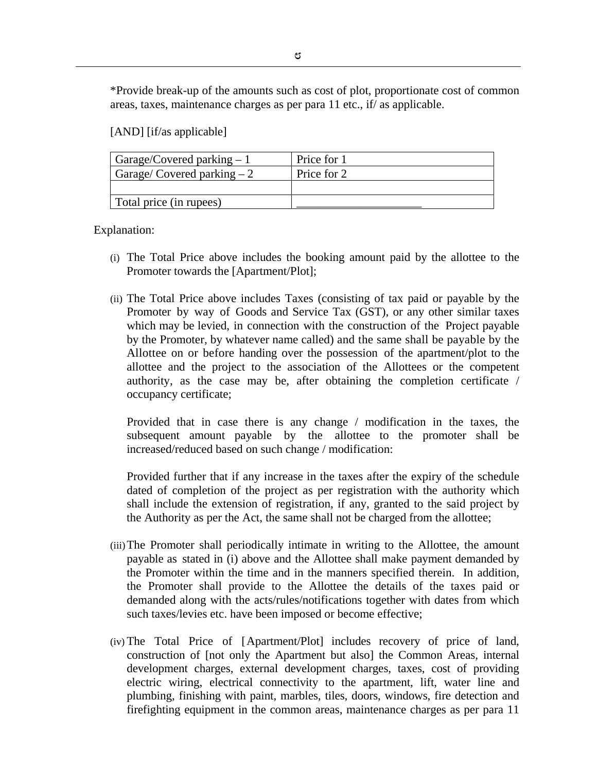\*Provide break-up of the amounts such as cost of plot, proportionate cost of common areas, taxes, maintenance charges as per para 11 etc., if/ as applicable.

[AND] [if/as applicable]

| Garage/Covered parking $-1$ | Price for 1 |
|-----------------------------|-------------|
| Garage/Covered parking $-2$ | Price for 2 |
|                             |             |
| Total price (in rupees)     |             |

Explanation:

- (i) The Total Price above includes the booking amount paid by the allottee to the Promoter towards the [Apartment/Plot];
- (ii) The Total Price above includes Taxes (consisting of tax paid or payable by the Promoter by way of Goods and Service Tax (GST), or any other similar taxes which may be levied, in connection with the construction of the Project payable by the Promoter, by whatever name called) and the same shall be payable by the Allottee on or before handing over the possession of the apartment/plot to the allottee and the project to the association of the Allottees or the competent authority, as the case may be, after obtaining the completion certificate / occupancy certificate;

Provided that in case there is any change / modification in the taxes, the subsequent amount payable by the allottee to the promoter shall be increased/reduced based on such change / modification:

Provided further that if any increase in the taxes after the expiry of the schedule dated of completion of the project as per registration with the authority which shall include the extension of registration, if any, granted to the said project by the Authority as per the Act, the same shall not be charged from the allottee;

- (iii)The Promoter shall periodically intimate in writing to the Allottee, the amount payable as stated in (i) above and the Allottee shall make payment demanded by the Promoter within the time and in the manners specified therein. In addition, the Promoter shall provide to the Allottee the details of the taxes paid or demanded along with the acts/rules/notifications together with dates from which such taxes/levies etc. have been imposed or become effective;
- (iv) The Total Price of [Apartment/Plot] includes recovery of price of land, construction of [not only the Apartment but also] the Common Areas, internal development charges, external development charges, taxes, cost of providing electric wiring, electrical connectivity to the apartment, lift, water line and plumbing, finishing with paint, marbles, tiles, doors, windows, fire detection and firefighting equipment in the common areas, maintenance charges as per para 11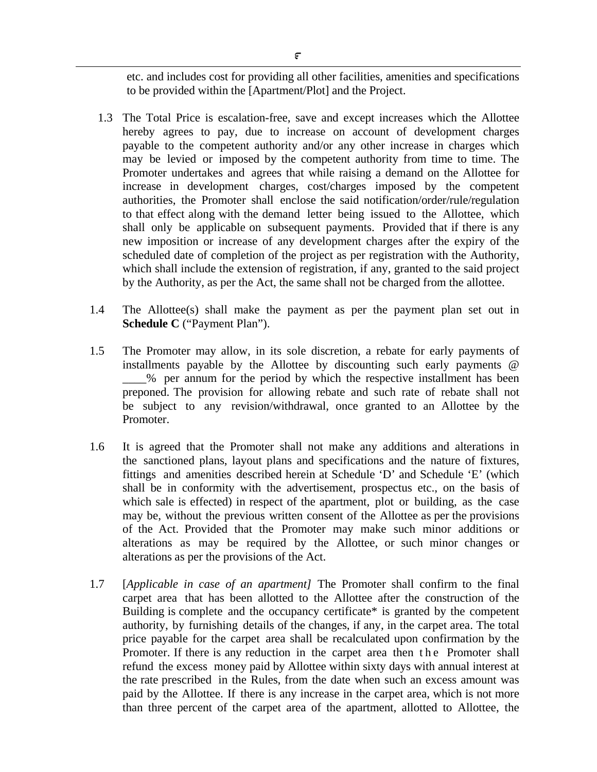etc. and includes cost for providing all other facilities, amenities and specifications to be provided within the [Apartment/Plot] and the Project.

- 1.3 The Total Price is escalation-free, save and except increases which the Allottee hereby agrees to pay, due to increase on account of development charges payable to the competent authority and/or any other increase in charges which may be levied or imposed by the competent authority from time to time. The Promoter undertakes and agrees that while raising a demand on the Allottee for increase in development charges, cost/charges imposed by the competent authorities, the Promoter shall enclose the said notification/order/rule/regulation to that effect along with the demand letter being issued to the Allottee, which shall only be applicable on subsequent payments. Provided that if there is any new imposition or increase of any development charges after the expiry of the scheduled date of completion of the project as per registration with the Authority, which shall include the extension of registration, if any, granted to the said project by the Authority, as per the Act, the same shall not be charged from the allottee.
- 1.4 The Allottee(s) shall make the payment as per the payment plan set out in **Schedule C** ("Payment Plan").
- 1.5 The Promoter may allow, in its sole discretion, a rebate for early payments of installments payable by the Allottee by discounting such early payments @ \_\_\_\_% per annum for the period by which the respective installment has been preponed. The provision for allowing rebate and such rate of rebate shall not be subject to any revision/withdrawal, once granted to an Allottee by the Promoter.
- 1.6 It is agreed that the Promoter shall not make any additions and alterations in the sanctioned plans, layout plans and specifications and the nature of fixtures, fittings and amenities described herein at Schedule 'D' and Schedule 'E' (which shall be in conformity with the advertisement, prospectus etc., on the basis of which sale is effected) in respect of the apartment, plot or building, as the case may be, without the previous written consent of the Allottee as per the provisions of the Act. Provided that the Promoter may make such minor additions or alterations as may be required by the Allottee, or such minor changes or alterations as per the provisions of the Act.
- 1.7 [*Applicable in case of an apartment]* The Promoter shall confirm to the final carpet area that has been allotted to the Allottee after the construction of the Building is complete and the occupancy certificate\* is granted by the competent authority, by furnishing details of the changes, if any, in the carpet area. The total price payable for the carpet area shall be recalculated upon confirmation by the Promoter. If there is any reduction in the carpet area then the Promoter shall refund the excess money paid by Allottee within sixty days with annual interest at the rate prescribed in the Rules, from the date when such an excess amount was paid by the Allottee. If there is any increase in the carpet area, which is not more than three percent of the carpet area of the apartment, allotted to Allottee, the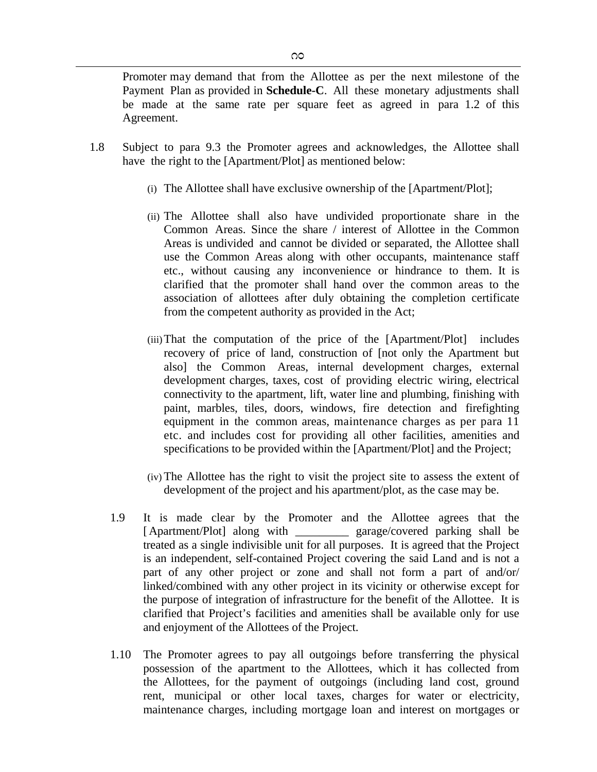Promoter may demand that from the Allottee as per the next milestone of the Payment Plan as provided in **Schedule-C**. All these monetary adjustments shall be made at the same rate per square feet as agreed in para 1.2 of this Agreement.

- 1.8 Subject to para 9.3 the Promoter agrees and acknowledges, the Allottee shall have the right to the [Apartment/Plot] as mentioned below:
	- (i) The Allottee shall have exclusive ownership of the [Apartment/Plot];
	- (ii) The Allottee shall also have undivided proportionate share in the Common Areas. Since the share / interest of Allottee in the Common Areas is undivided and cannot be divided or separated, the Allottee shall use the Common Areas along with other occupants, maintenance staff etc., without causing any inconvenience or hindrance to them. It is clarified that the promoter shall hand over the common areas to the association of allottees after duly obtaining the completion certificate from the competent authority as provided in the Act;
	- (iii)That the computation of the price of the [Apartment/Plot] includes recovery of price of land, construction of [not only the Apartment but also] the Common Areas, internal development charges, external development charges, taxes, cost of providing electric wiring, electrical connectivity to the apartment, lift, water line and plumbing, finishing with paint, marbles, tiles, doors, windows, fire detection and firefighting equipment in the common areas, maintenance charges as per para 11 etc. and includes cost for providing all other facilities, amenities and specifications to be provided within the [Apartment/Plot] and the Project;
	- (iv) The Allottee has the right to visit the project site to assess the extent of development of the project and his apartment/plot, as the case may be.
	- 1.9 It is made clear by the Promoter and the Allottee agrees that the [Apartment/Plot] along with garage/covered parking shall be treated as a single indivisible unit for all purposes. It is agreed that the Project is an independent, self-contained Project covering the said Land and is not a part of any other project or zone and shall not form a part of and/or/ linked/combined with any other project in its vicinity or otherwise except for the purpose of integration of infrastructure for the benefit of the Allottee. It is clarified that Project's facilities and amenities shall be available only for use and enjoyment of the Allottees of the Project.
	- 1.10 The Promoter agrees to pay all outgoings before transferring the physical possession of the apartment to the Allottees, which it has collected from the Allottees, for the payment of outgoings (including land cost, ground rent, municipal or other local taxes, charges for water or electricity, maintenance charges, including mortgage loan and interest on mortgages or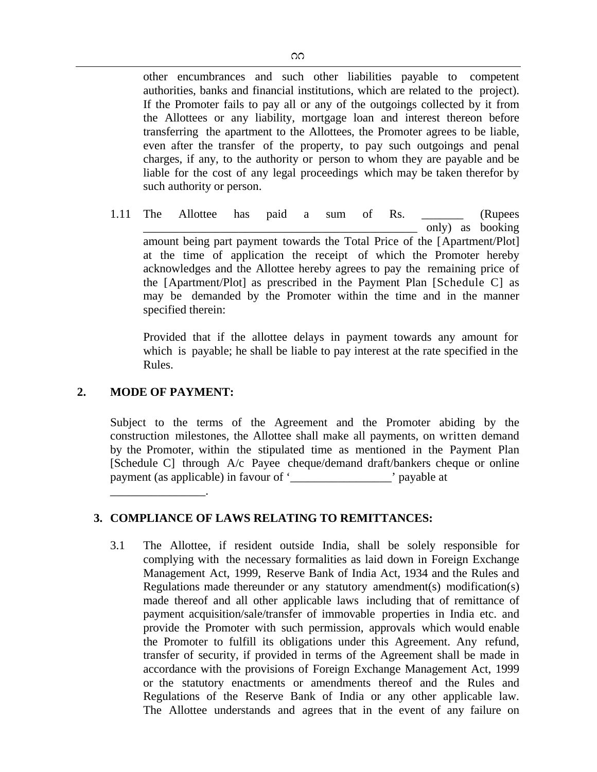other encumbrances and such other liabilities payable to competent authorities, banks and financial institutions, which are related to the project). If the Promoter fails to pay all or any of the outgoings collected by it from the Allottees or any liability, mortgage loan and interest thereon before transferring the apartment to the Allottees, the Promoter agrees to be liable, even after the transfer of the property, to pay such outgoings and penal charges, if any, to the authority or person to whom they are payable and be liable for the cost of any legal proceedings which may be taken therefor by such authority or person.

1.11 The Allottee has paid a sum of Rs. \_\_\_\_\_\_\_ (Rupees only) as booking amount being part payment towards the Total Price of the [Apartment/Plot] at the time of application the receipt of which the Promoter hereby acknowledges and the Allottee hereby agrees to pay the remaining price of the [Apartment/Plot] as prescribed in the Payment Plan [Schedule C] as may be demanded by the Promoter within the time and in the manner specified therein:

Provided that if the allottee delays in payment towards any amount for which is payable; he shall be liable to pay interest at the rate specified in the Rules.

### **2. MODE OF PAYMENT:**

\_\_\_\_\_\_\_\_\_\_\_\_\_\_\_\_.

Subject to the terms of the Agreement and the Promoter abiding by the construction milestones, the Allottee shall make all payments, on written demand by the Promoter, within the stipulated time as mentioned in the Payment Plan [Schedule C] through A/c Payee cheque/demand draft/bankers cheque or online payment (as applicable) in favour of '\_\_\_\_\_\_\_\_\_\_\_\_\_\_\_\_\_' payable at

## **3. COMPLIANCE OF LAWS RELATING TO REMITTANCES:**

3.1 The Allottee, if resident outside India, shall be solely responsible for complying with the necessary formalities as laid down in Foreign Exchange Management Act, 1999, Reserve Bank of India Act, 1934 and the Rules and Regulations made thereunder or any statutory amendment(s) modification(s) made thereof and all other applicable laws including that of remittance of payment acquisition/sale/transfer of immovable properties in India etc. and provide the Promoter with such permission, approvals which would enable the Promoter to fulfill its obligations under this Agreement. Any refund, transfer of security, if provided in terms of the Agreement shall be made in accordance with the provisions of Foreign Exchange Management Act, 1999 or the statutory enactments or amendments thereof and the Rules and Regulations of the Reserve Bank of India or any other applicable law. The Allottee understands and agrees that in the event of any failure on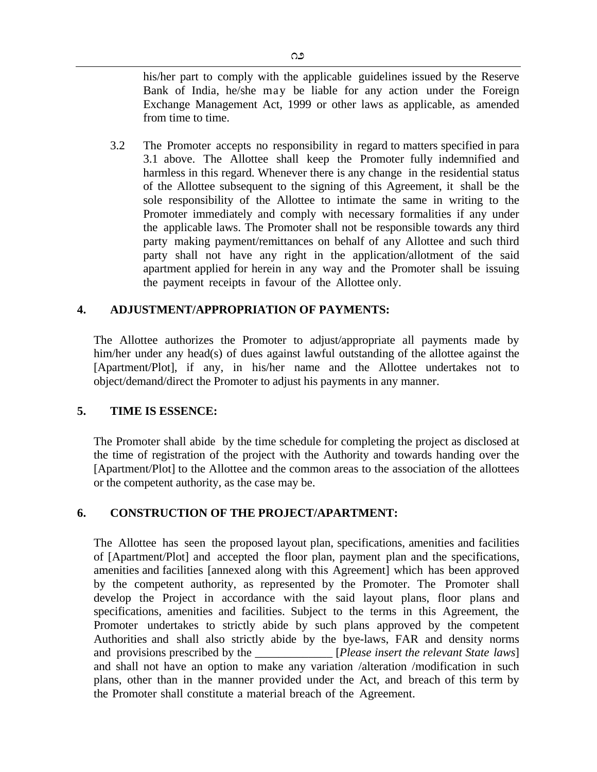his/her part to comply with the applicable guidelines issued by the Reserve Bank of India, he/she may be liable for any action under the Foreign Exchange Management Act, 1999 or other laws as applicable, as amended from time to time.

3.2 The Promoter accepts no responsibility in regard to matters specified in para 3.1 above. The Allottee shall keep the Promoter fully indemnified and harmless in this regard. Whenever there is any change in the residential status of the Allottee subsequent to the signing of this Agreement, it shall be the sole responsibility of the Allottee to intimate the same in writing to the Promoter immediately and comply with necessary formalities if any under the applicable laws. The Promoter shall not be responsible towards any third party making payment/remittances on behalf of any Allottee and such third party shall not have any right in the application/allotment of the said apartment applied for herein in any way and the Promoter shall be issuing the payment receipts in favour of the Allottee only.

### **4. ADJUSTMENT/APPROPRIATION OF PAYMENTS:**

The Allottee authorizes the Promoter to adjust/appropriate all payments made by him/her under any head(s) of dues against lawful outstanding of the allottee against the [Apartment/Plot], if any, in his/her name and the Allottee undertakes not to object/demand/direct the Promoter to adjust his payments in any manner.

### **5. TIME IS ESSENCE:**

The Promoter shall abide by the time schedule for completing the project as disclosed at the time of registration of the project with the Authority and towards handing over the [Apartment/Plot] to the Allottee and the common areas to the association of the allottees or the competent authority, as the case may be.

## **6. CONSTRUCTION OF THE PROJECT/APARTMENT:**

The Allottee has seen the proposed layout plan, specifications, amenities and facilities of [Apartment/Plot] and accepted the floor plan, payment plan and the specifications, amenities and facilities [annexed along with this Agreement] which has been approved by the competent authority, as represented by the Promoter. The Promoter shall develop the Project in accordance with the said layout plans, floor plans and specifications, amenities and facilities. Subject to the terms in this Agreement, the Promoter undertakes to strictly abide by such plans approved by the competent Authorities and shall also strictly abide by the bye-laws, FAR and density norms and provisions prescribed by the *\_\_\_\_\_\_\_\_\_\_\_\_\_\_* [*Please insert the relevant State laws*] and shall not have an option to make any variation /alteration /modification in such plans, other than in the manner provided under the Act, and breach of this term by the Promoter shall constitute a material breach of the Agreement.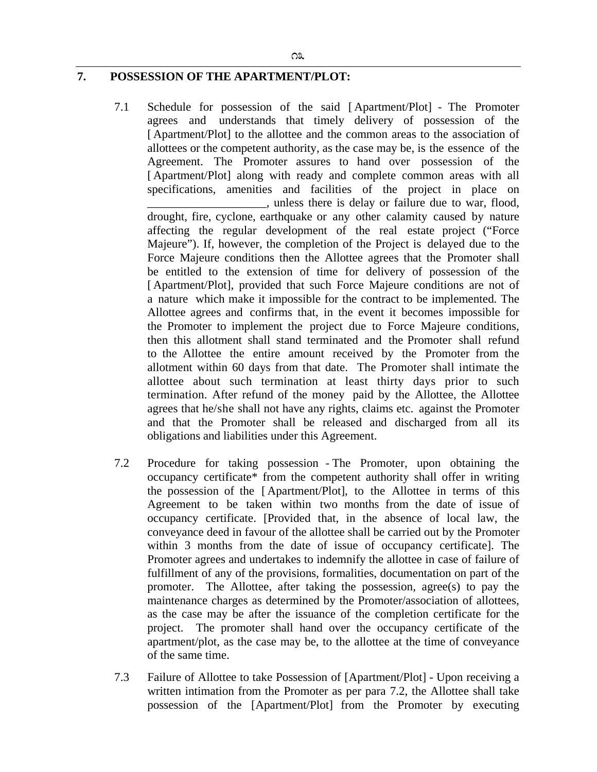# **7. POSSESSION OF THE APARTMENT/PLOT:**

7.1 Schedule for possession of the said [ Apartment/Plot] - The Promoter agrees and understands that timely delivery of possession of the [ Apartment/Plot] to the allottee and the common areas to the association of allottees or the competent authority, as the case may be, is the essence of the Agreement. The Promoter assures to hand over possession of the [Apartment/Plot] along with ready and complete common areas with all specifications, amenities and facilities of the project in place on

\_\_\_\_\_\_\_\_\_\_\_\_\_\_\_\_\_\_\_\_, unless there is delay or failure due to war, flood, drought, fire, cyclone, earthquake or any other calamity caused by nature affecting the regular development of the real estate project ("Force Majeure"). If, however, the completion of the Project is delayed due to the Force Majeure conditions then the Allottee agrees that the Promoter shall be entitled to the extension of time for delivery of possession of the [ Apartment/Plot], provided that such Force Majeure conditions are not of a nature which make it impossible for the contract to be implemented. The Allottee agrees and confirms that, in the event it becomes impossible for the Promoter to implement the project due to Force Majeure conditions, then this allotment shall stand terminated and the Promoter shall refund to the Allottee the entire amount received by the Promoter from the allotment within 60 days from that date. The Promoter shall intimate the allottee about such termination at least thirty days prior to such termination. After refund of the money paid by the Allottee, the Allottee agrees that he/she shall not have any rights, claims etc. against the Promoter and that the Promoter shall be released and discharged from all its obligations and liabilities under this Agreement.

- 7.2 Procedure for taking possession The Promoter, upon obtaining the occupancy certificate\* from the competent authority shall offer in writing the possession of the [ Apartment/Plot], to the Allottee in terms of this Agreement to be taken within two months from the date of issue of occupancy certificate. [Provided that, in the absence of local law, the conveyance deed in favour of the allottee shall be carried out by the Promoter within 3 months from the date of issue of occupancy certificate]. The Promoter agrees and undertakes to indemnify the allottee in case of failure of fulfillment of any of the provisions, formalities, documentation on part of the promoter. The Allottee, after taking the possession, agree(s) to pay the maintenance charges as determined by the Promoter/association of allottees, as the case may be after the issuance of the completion certificate for the project. The promoter shall hand over the occupancy certificate of the apartment/plot, as the case may be, to the allottee at the time of conveyance of the same time.
- 7.3 Failure of Allottee to take Possession of [Apartment/Plot] Upon receiving a written intimation from the Promoter as per para 7.2, the Allottee shall take possession of the [Apartment/Plot] from the Promoter by executing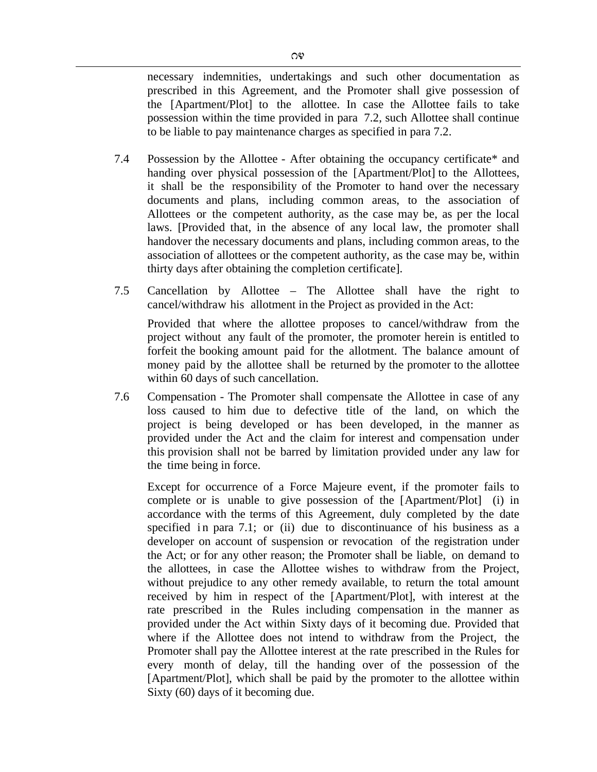necessary indemnities, undertakings and such other documentation as prescribed in this Agreement, and the Promoter shall give possession of the [Apartment/Plot] to the allottee. In case the Allottee fails to take possession within the time provided in para 7.2, such Allottee shall continue to be liable to pay maintenance charges as specified in para 7.2.

- 7.4 Possession by the Allottee After obtaining the occupancy certificate\* and handing over physical possession of the [Apartment/Plot] to the Allottees, it shall be the responsibility of the Promoter to hand over the necessary documents and plans, including common areas, to the association of Allottees or the competent authority, as the case may be, as per the local laws. [Provided that, in the absence of any local law, the promoter shall handover the necessary documents and plans, including common areas, to the association of allottees or the competent authority, as the case may be, within thirty days after obtaining the completion certificate].
- 7.5 Cancellation by Allottee The Allottee shall have the right to cancel/withdraw his allotment in the Project as provided in the Act:

Provided that where the allottee proposes to cancel/withdraw from the project without any fault of the promoter, the promoter herein is entitled to forfeit the booking amount paid for the allotment. The balance amount of money paid by the allottee shall be returned by the promoter to the allottee within 60 days of such cancellation.

7.6 Compensation - The Promoter shall compensate the Allottee in case of any loss caused to him due to defective title of the land, on which the project is being developed or has been developed, in the manner as provided under the Act and the claim for interest and compensation under this provision shall not be barred by limitation provided under any law for the time being in force.

Except for occurrence of a Force Majeure event, if the promoter fails to complete or is unable to give possession of the [Apartment/Plot] (i) in accordance with the terms of this Agreement, duly completed by the date specified in para 7.1; or (ii) due to discontinuance of his business as a developer on account of suspension or revocation of the registration under the Act; or for any other reason; the Promoter shall be liable, on demand to the allottees, in case the Allottee wishes to withdraw from the Project, without prejudice to any other remedy available, to return the total amount received by him in respect of the [Apartment/Plot], with interest at the rate prescribed in the Rules including compensation in the manner as provided under the Act within Sixty days of it becoming due. Provided that where if the Allottee does not intend to withdraw from the Project, the Promoter shall pay the Allottee interest at the rate prescribed in the Rules for every month of delay, till the handing over of the possession of the [Apartment/Plot], which shall be paid by the promoter to the allottee within Sixty (60) days of it becoming due.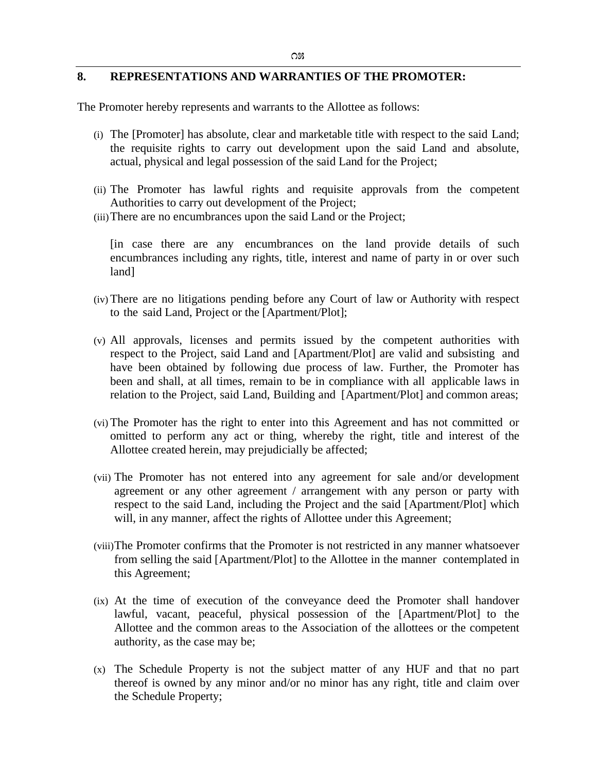### **8. REPRESENTATIONS AND WARRANTIES OF THE PROMOTER:**

The Promoter hereby represents and warrants to the Allottee as follows:

- (i) The [Promoter] has absolute, clear and marketable title with respect to the said Land; the requisite rights to carry out development upon the said Land and absolute, actual, physical and legal possession of the said Land for the Project;
- (ii) The Promoter has lawful rights and requisite approvals from the competent Authorities to carry out development of the Project;
- (iii)There are no encumbrances upon the said Land or the Project;

[in case there are any encumbrances on the land provide details of such encumbrances including any rights, title, interest and name of party in or over such land]

- (iv) There are no litigations pending before any Court of law or Authority with respect to the said Land, Project or the [Apartment/Plot];
- (v) All approvals, licenses and permits issued by the competent authorities with respect to the Project, said Land and [Apartment/Plot] are valid and subsisting and have been obtained by following due process of law. Further, the Promoter has been and shall, at all times, remain to be in compliance with all applicable laws in relation to the Project, said Land, Building and [Apartment/Plot] and common areas;
- (vi) The Promoter has the right to enter into this Agreement and has not committed or omitted to perform any act or thing, whereby the right, title and interest of the Allottee created herein, may prejudicially be affected;
- (vii) The Promoter has not entered into any agreement for sale and/or development agreement or any other agreement / arrangement with any person or party with respect to the said Land, including the Project and the said [Apartment/Plot] which will, in any manner, affect the rights of Allottee under this Agreement;
- (viii)The Promoter confirms that the Promoter is not restricted in any manner whatsoever from selling the said [Apartment/Plot] to the Allottee in the manner contemplated in this Agreement;
- (ix) At the time of execution of the conveyance deed the Promoter shall handover lawful, vacant, peaceful, physical possession of the [Apartment/Plot] to the Allottee and the common areas to the Association of the allottees or the competent authority, as the case may be;
- (x) The Schedule Property is not the subject matter of any HUF and that no part thereof is owned by any minor and/or no minor has any right, title and claim over the Schedule Property;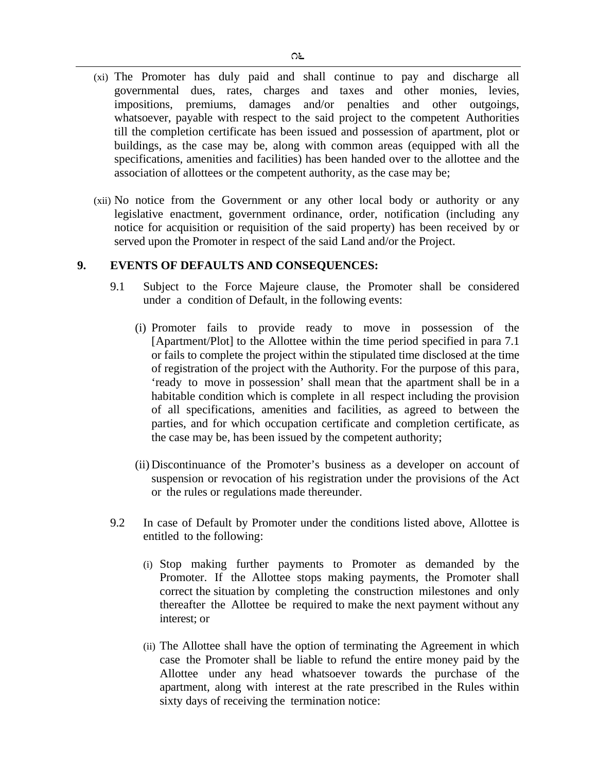- (xi) The Promoter has duly paid and shall continue to pay and discharge all governmental dues, rates, charges and taxes and other monies, levies, impositions, premiums, damages and/or penalties and other outgoings, whatsoever, payable with respect to the said project to the competent Authorities till the completion certificate has been issued and possession of apartment, plot or buildings, as the case may be, along with common areas (equipped with all the specifications, amenities and facilities) has been handed over to the allottee and the association of allottees or the competent authority, as the case may be;
- (xii) No notice from the Government or any other local body or authority or any legislative enactment, government ordinance, order, notification (including any notice for acquisition or requisition of the said property) has been received by or served upon the Promoter in respect of the said Land and/or the Project.

#### **9. EVENTS OF DEFAULTS AND CONSEQUENCES:**

- 9.1 Subject to the Force Majeure clause, the Promoter shall be considered under a condition of Default, in the following events:
	- (i) Promoter fails to provide ready to move in possession of the [Apartment/Plot] to the Allottee within the time period specified in para 7.1 or fails to complete the project within the stipulated time disclosed at the time of registration of the project with the Authority. For the purpose of this para, 'ready to move in possession' shall mean that the apartment shall be in a habitable condition which is complete in all respect including the provision of all specifications, amenities and facilities, as agreed to between the parties, and for which occupation certificate and completion certificate, as the case may be, has been issued by the competent authority;
	- (ii) Discontinuance of the Promoter's business as a developer on account of suspension or revocation of his registration under the provisions of the Act or the rules or regulations made thereunder.
- 9.2 In case of Default by Promoter under the conditions listed above, Allottee is entitled to the following:
	- (i) Stop making further payments to Promoter as demanded by the Promoter. If the Allottee stops making payments, the Promoter shall correct the situation by completing the construction milestones and only thereafter the Allottee be required to make the next payment without any interest; or
	- (ii) The Allottee shall have the option of terminating the Agreement in which case the Promoter shall be liable to refund the entire money paid by the Allottee under any head whatsoever towards the purchase of the apartment, along with interest at the rate prescribed in the Rules within sixty days of receiving the termination notice: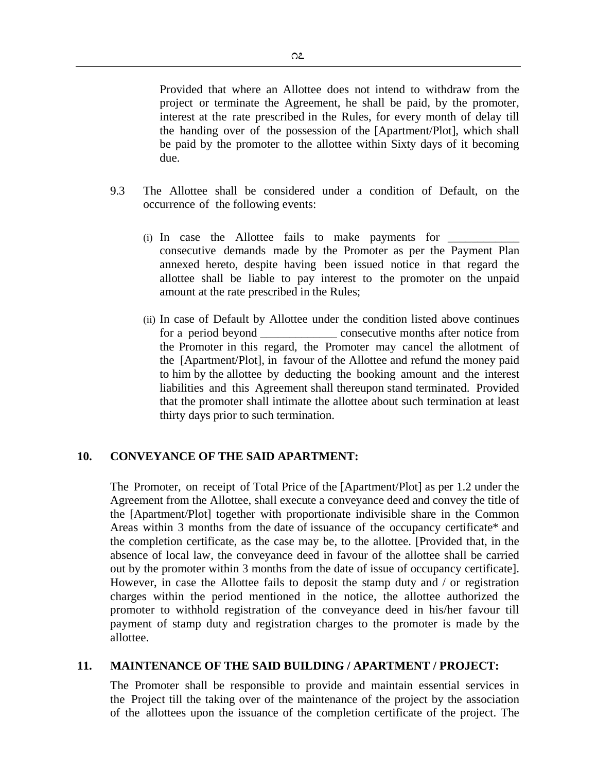Provided that where an Allottee does not intend to withdraw from the project or terminate the Agreement, he shall be paid, by the promoter, interest at the rate prescribed in the Rules, for every month of delay till the handing over of the possession of the [Apartment/Plot], which shall be paid by the promoter to the allottee within Sixty days of it becoming due.

- 9.3 The Allottee shall be considered under a condition of Default, on the occurrence of the following events:
	- (i) In case the Allottee fails to make payments for  $\overline{\phantom{a}}$ consecutive demands made by the Promoter as per the Payment Plan annexed hereto, despite having been issued notice in that regard the allottee shall be liable to pay interest to the promoter on the unpaid amount at the rate prescribed in the Rules;
	- (ii) In case of Default by Allottee under the condition listed above continues for a period beyond consecutive months after notice from the Promoter in this regard, the Promoter may cancel the allotment of the [Apartment/Plot], in favour of the Allottee and refund the money paid to him by the allottee by deducting the booking amount and the interest liabilities and this Agreement shall thereupon stand terminated. Provided that the promoter shall intimate the allottee about such termination at least thirty days prior to such termination.

### **10. CONVEYANCE OF THE SAID APARTMENT:**

The Promoter, on receipt of Total Price of the [Apartment/Plot] as per 1.2 under the Agreement from the Allottee, shall execute a conveyance deed and convey the title of the [Apartment/Plot] together with proportionate indivisible share in the Common Areas within 3 months from the date of issuance of the occupancy certificate\* and the completion certificate, as the case may be, to the allottee. [Provided that, in the absence of local law, the conveyance deed in favour of the allottee shall be carried out by the promoter within 3 months from the date of issue of occupancy certificate]. However, in case the Allottee fails to deposit the stamp duty and / or registration charges within the period mentioned in the notice, the allottee authorized the promoter to withhold registration of the conveyance deed in his/her favour till payment of stamp duty and registration charges to the promoter is made by the allottee.

#### **11. MAINTENANCE OF THE SAID BUILDING / APARTMENT / PROJECT:**

The Promoter shall be responsible to provide and maintain essential services in the Project till the taking over of the maintenance of the project by the association of the allottees upon the issuance of the completion certificate of the project. The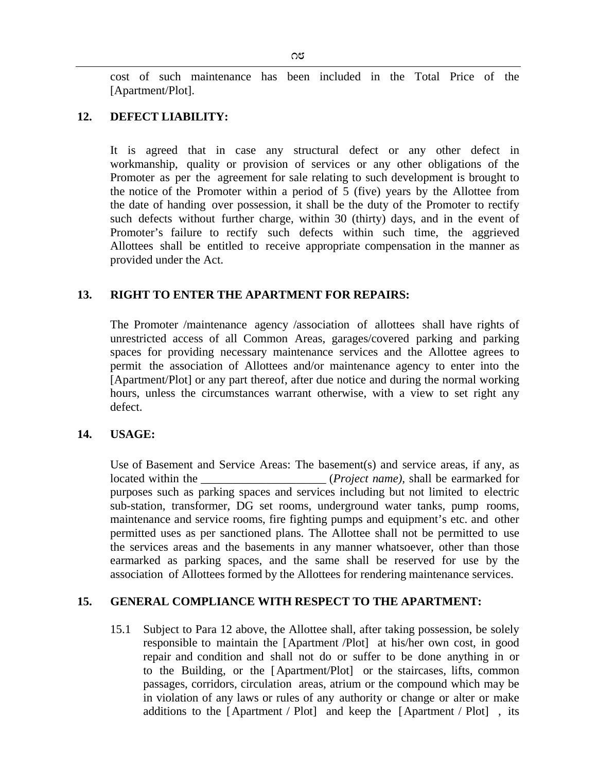cost of such maintenance has been included in the Total Price of the [Apartment/Plot].

### **12. DEFECT LIABILITY:**

It is agreed that in case any structural defect or any other defect in workmanship, quality or provision of services or any other obligations of the Promoter as per the agreement for sale relating to such development is brought to the notice of the Promoter within a period of 5 (five) years by the Allottee from the date of handing over possession, it shall be the duty of the Promoter to rectify such defects without further charge, within 30 (thirty) days, and in the event of Promoter's failure to rectify such defects within such time, the aggrieved Allottees shall be entitled to receive appropriate compensation in the manner as provided under the Act.

## **13. RIGHT TO ENTER THE APARTMENT FOR REPAIRS:**

The Promoter /maintenance agency /association of allottees shall have rights of unrestricted access of all Common Areas, garages/covered parking and parking spaces for providing necessary maintenance services and the Allottee agrees to permit the association of Allottees and/or maintenance agency to enter into the [Apartment/Plot] or any part thereof, after due notice and during the normal working hours, unless the circumstances warrant otherwise, with a view to set right any defect.

### **14. USAGE:**

Use of Basement and Service Areas: The basement(s) and service areas, if any, as located within the <u>container (*Project name*)</u>, shall be earmarked for purposes such as parking spaces and services including but not limited to electric sub-station, transformer, DG set rooms, underground water tanks, pump rooms, maintenance and service rooms, fire fighting pumps and equipment's etc. and other permitted uses as per sanctioned plans. The Allottee shall not be permitted to use the services areas and the basements in any manner whatsoever, other than those earmarked as parking spaces, and the same shall be reserved for use by the association of Allottees formed by the Allottees for rendering maintenance services.

### **15. GENERAL COMPLIANCE WITH RESPECT TO THE APARTMENT:**

15.1 Subject to Para 12 above, the Allottee shall, after taking possession, be solely responsible to maintain the [Apartment /Plot] at his/her own cost, in good repair and condition and shall not do or suffer to be done anything in or to the Building, or the [Apartment/Plot] or the staircases, lifts, common passages, corridors, circulation areas, atrium or the compound which may be in violation of any laws or rules of any authority or change or alter or make additions to the [Apartment / Plot] and keep the [Apartment / Plot] , its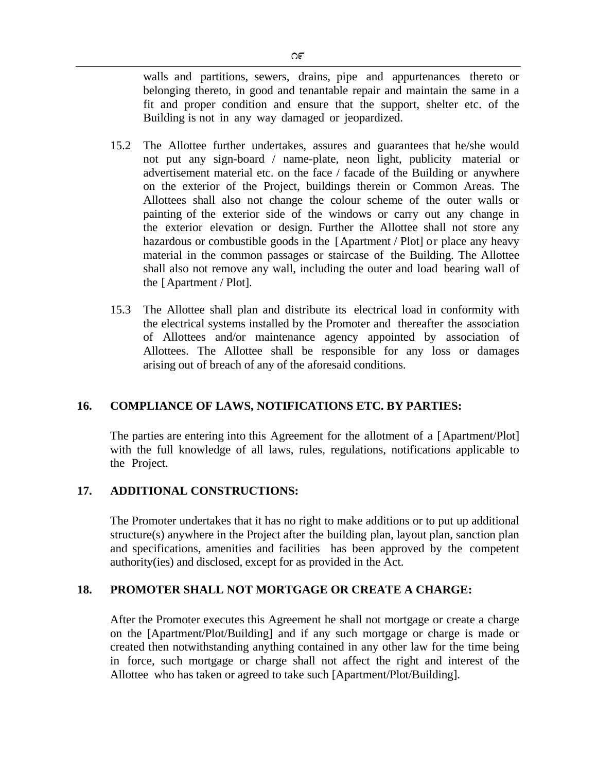walls and partitions, sewers, drains, pipe and appurtenances thereto or belonging thereto, in good and tenantable repair and maintain the same in a fit and proper condition and ensure that the support, shelter etc. of the Building is not in any way damaged or jeopardized.

- 15.2 The Allottee further undertakes, assures and guarantees that he/she would not put any sign-board / name-plate, neon light, publicity material or advertisement material etc. on the face / facade of the Building or anywhere on the exterior of the Project, buildings therein or Common Areas. The Allottees shall also not change the colour scheme of the outer walls or painting of the exterior side of the windows or carry out any change in the exterior elevation or design. Further the Allottee shall not store any hazardous or combustible goods in the [Apartment / Plot] or place any heavy material in the common passages or staircase of the Building. The Allottee shall also not remove any wall, including the outer and load bearing wall of the [Apartment / Plot].
- 15.3 The Allottee shall plan and distribute its electrical load in conformity with the electrical systems installed by the Promoter and thereafter the association of Allottees and/or maintenance agency appointed by association of Allottees. The Allottee shall be responsible for any loss or damages arising out of breach of any of the aforesaid conditions.

## **16. COMPLIANCE OF LAWS, NOTIFICATIONS ETC. BY PARTIES:**

The parties are entering into this Agreement for the allotment of a [Apartment/Plot] with the full knowledge of all laws, rules, regulations, notifications applicable to the Project.

## **17. ADDITIONAL CONSTRUCTIONS:**

The Promoter undertakes that it has no right to make additions or to put up additional structure(s) anywhere in the Project after the building plan, layout plan, sanction plan and specifications, amenities and facilities has been approved by the competent authority(ies) and disclosed, except for as provided in the Act.

## **18. PROMOTER SHALL NOT MORTGAGE OR CREATE A CHARGE:**

After the Promoter executes this Agreement he shall not mortgage or create a charge on the [Apartment/Plot/Building] and if any such mortgage or charge is made or created then notwithstanding anything contained in any other law for the time being in force, such mortgage or charge shall not affect the right and interest of the Allottee who has taken or agreed to take such [Apartment/Plot/Building].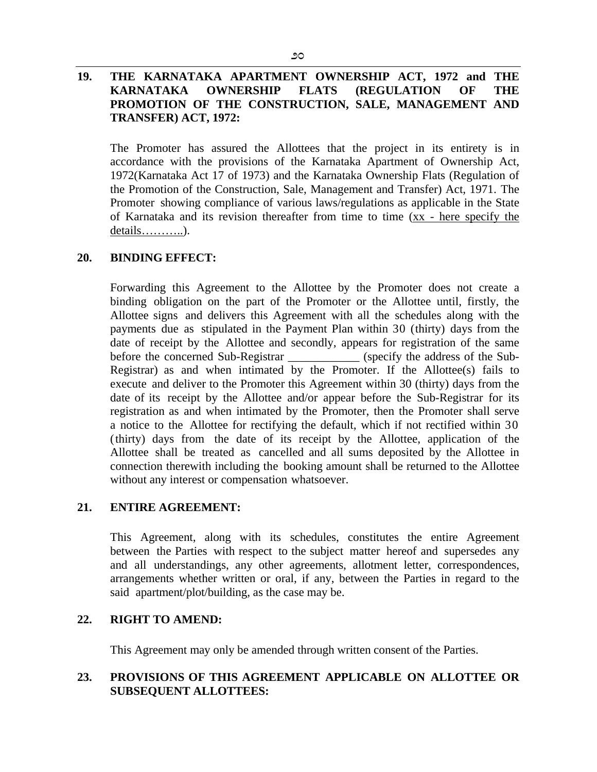## **19. THE KARNATAKA APARTMENT OWNERSHIP ACT, 1972 and THE KARNATAKA OWNERSHIP FLATS (REGULATION OF THE PROMOTION OF THE CONSTRUCTION, SALE, MANAGEMENT AND TRANSFER) ACT, 1972:**

The Promoter has assured the Allottees that the project in its entirety is in accordance with the provisions of the Karnataka Apartment of Ownership Act, 1972(Karnataka Act 17 of 1973) and the Karnataka Ownership Flats (Regulation of the Promotion of the Construction, Sale, Management and Transfer) Act, 1971. The Promoter showing compliance of various laws/regulations as applicable in the State of Karnataka and its revision thereafter from time to time (xx - here specify the details………..).

### **20. BINDING EFFECT:**

Forwarding this Agreement to the Allottee by the Promoter does not create a binding obligation on the part of the Promoter or the Allottee until, firstly, the Allottee signs and delivers this Agreement with all the schedules along with the payments due as stipulated in the Payment Plan within 30 (thirty) days from the date of receipt by the Allottee and secondly, appears for registration of the same before the concerned Sub-Registrar \_\_\_\_\_\_\_\_\_\_\_\_\_ (specify the address of the Sub-Registrar) as and when intimated by the Promoter. If the Allottee(s) fails to execute and deliver to the Promoter this Agreement within 30 (thirty) days from the date of its receipt by the Allottee and/or appear before the Sub-Registrar for its registration as and when intimated by the Promoter, then the Promoter shall serve a notice to the Allottee for rectifying the default, which if not rectified within 30 (thirty) days from the date of its receipt by the Allottee, application of the Allottee shall be treated as cancelled and all sums deposited by the Allottee in connection therewith including the booking amount shall be returned to the Allottee without any interest or compensation whatsoever.

## **21. ENTIRE AGREEMENT:**

This Agreement, along with its schedules, constitutes the entire Agreement between the Parties with respect to the subject matter hereof and supersedes any and all understandings, any other agreements, allotment letter, correspondences, arrangements whether written or oral, if any, between the Parties in regard to the said apartment/plot/building, as the case may be.

### **22. RIGHT TO AMEND:**

This Agreement may only be amended through written consent of the Parties.

## **23. PROVISIONS OF THIS AGREEMENT APPLICABLE ON ALLOTTEE OR SUBSEQUENT ALLOTTEES:**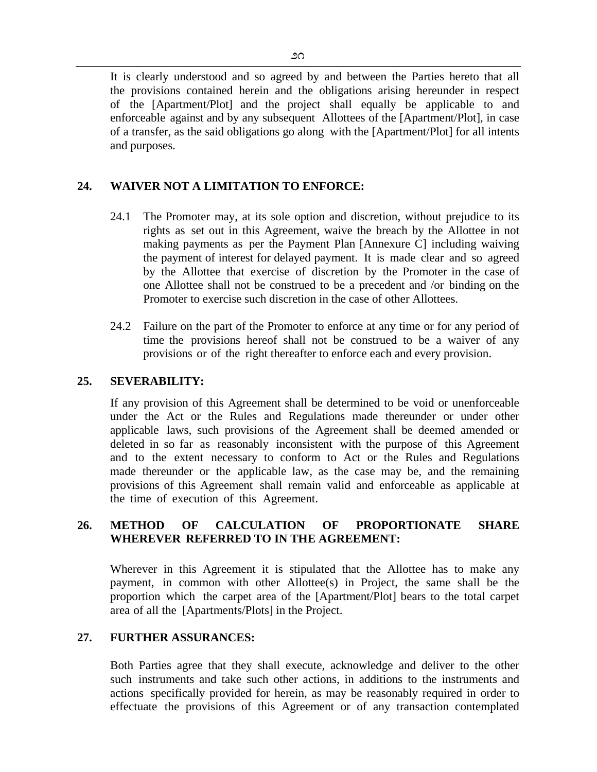It is clearly understood and so agreed by and between the Parties hereto that all the provisions contained herein and the obligations arising hereunder in respect of the [Apartment/Plot] and the project shall equally be applicable to and enforceable against and by any subsequent Allottees of the [Apartment/Plot], in case of a transfer, as the said obligations go along with the [Apartment/Plot] for all intents and purposes.

# **24. WAIVER NOT A LIMITATION TO ENFORCE:**

- 24.1 The Promoter may, at its sole option and discretion, without prejudice to its rights as set out in this Agreement, waive the breach by the Allottee in not making payments as per the Payment Plan [Annexure C] including waiving the payment of interest for delayed payment. It is made clear and so agreed by the Allottee that exercise of discretion by the Promoter in the case of one Allottee shall not be construed to be a precedent and /or binding on the Promoter to exercise such discretion in the case of other Allottees.
- 24.2 Failure on the part of the Promoter to enforce at any time or for any period of time the provisions hereof shall not be construed to be a waiver of any provisions or of the right thereafter to enforce each and every provision.

## **25. SEVERABILITY:**

If any provision of this Agreement shall be determined to be void or unenforceable under the Act or the Rules and Regulations made thereunder or under other applicable laws, such provisions of the Agreement shall be deemed amended or deleted in so far as reasonably inconsistent with the purpose of this Agreement and to the extent necessary to conform to Act or the Rules and Regulations made thereunder or the applicable law, as the case may be, and the remaining provisions of this Agreement shall remain valid and enforceable as applicable at the time of execution of this Agreement.

## **26. METHOD OF CALCULATION OF PROPORTIONATE SHARE WHEREVER REFERRED TO IN THE AGREEMENT:**

Wherever in this Agreement it is stipulated that the Allottee has to make any payment, in common with other Allottee(s) in Project, the same shall be the proportion which the carpet area of the [Apartment/Plot] bears to the total carpet area of all the [Apartments/Plots] in the Project.

## **27. FURTHER ASSURANCES:**

Both Parties agree that they shall execute, acknowledge and deliver to the other such instruments and take such other actions, in additions to the instruments and actions specifically provided for herein, as may be reasonably required in order to effectuate the provisions of this Agreement or of any transaction contemplated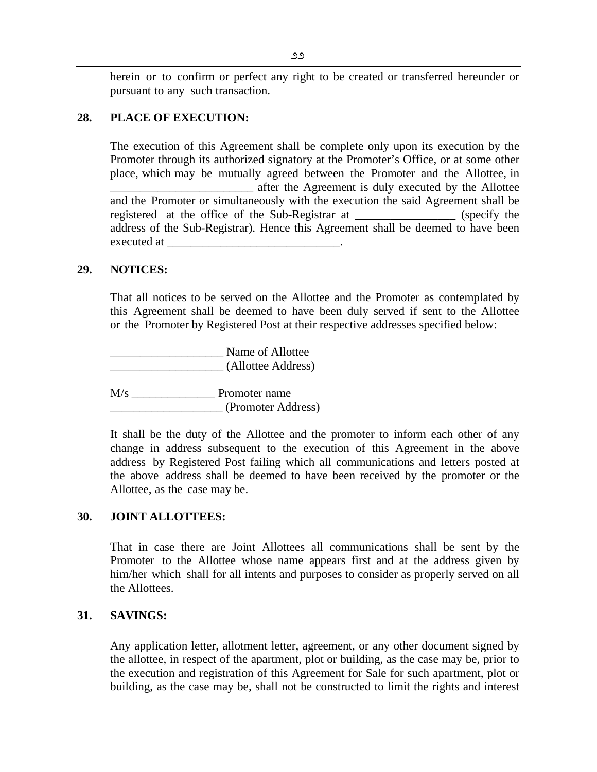herein or to confirm or perfect any right to be created or transferred hereunder or pursuant to any such transaction.

### **28. PLACE OF EXECUTION:**

The execution of this Agreement shall be complete only upon its execution by the Promoter through its authorized signatory at the Promoter's Office, or at some other place, which may be mutually agreed between the Promoter and the Allottee, in \_\_\_\_\_\_\_\_\_\_\_\_\_\_\_\_\_\_\_\_\_\_\_\_ after the Agreement is duly executed by the Allottee and the Promoter or simultaneously with the execution the said Agreement shall be registered at the office of the Sub-Registrar at \_\_\_\_\_\_\_\_\_\_\_\_\_\_\_\_\_ (specify the address of the Sub-Registrar). Hence this Agreement shall be deemed to have been executed at

### **29. NOTICES:**

That all notices to be served on the Allottee and the Promoter as contemplated by this Agreement shall be deemed to have been duly served if sent to the Allottee or the Promoter by Registered Post at their respective addresses specified below:

\_\_\_\_\_\_\_\_\_\_\_\_\_\_\_\_\_\_\_ Name of Allottee \_\_\_\_\_\_\_\_\_\_\_\_\_\_\_\_\_\_\_ (Allottee Address)

M/s \_\_\_\_\_\_\_\_\_\_\_\_\_\_ Promoter name \_\_\_\_\_\_\_\_\_\_\_\_\_\_\_\_\_\_\_ (Promoter Address)

It shall be the duty of the Allottee and the promoter to inform each other of any change in address subsequent to the execution of this Agreement in the above address by Registered Post failing which all communications and letters posted at the above address shall be deemed to have been received by the promoter or the Allottee, as the case may be.

### **30. JOINT ALLOTTEES:**

That in case there are Joint Allottees all communications shall be sent by the Promoter to the Allottee whose name appears first and at the address given by him/her which shall for all intents and purposes to consider as properly served on all the Allottees.

### **31. SAVINGS:**

Any application letter, allotment letter, agreement, or any other document signed by the allottee, in respect of the apartment, plot or building, as the case may be, prior to the execution and registration of this Agreement for Sale for such apartment, plot or building, as the case may be, shall not be constructed to limit the rights and interest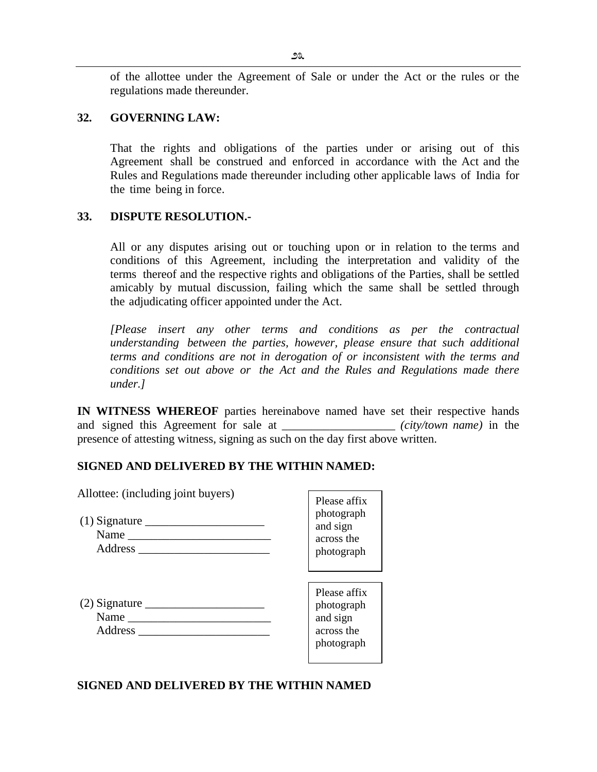of the allottee under the Agreement of Sale or under the Act or the rules or the regulations made thereunder.

### **32. GOVERNING LAW:**

That the rights and obligations of the parties under or arising out of this Agreement shall be construed and enforced in accordance with the Act and the Rules and Regulations made thereunder including other applicable laws of India for the time being in force.

### **33. DISPUTE RESOLUTION.-**

All or any disputes arising out or touching upon or in relation to the terms and conditions of this Agreement, including the interpretation and validity of the terms thereof and the respective rights and obligations of the Parties, shall be settled amicably by mutual discussion, failing which the same shall be settled through the adjudicating officer appointed under the Act.

*[Please insert any other terms and conditions as per the contractual understanding between the parties, however, please ensure that such additional terms and conditions are not in derogation of or inconsistent with the terms and conditions set out above or the Act and the Rules and Regulations made there under.]* 

**IN WITNESS WHEREOF** parties hereinabove named have set their respective hands and signed this Agreement for sale at *(city/town name)* in the presence of attesting witness, signing as such on the day first above written.

### **SIGNED AND DELIVERED BY THE WITHIN NAMED:**

| Allottee: (including joint buyers) | Please affix<br>photograph<br>and sign<br>across the<br>photograph |
|------------------------------------|--------------------------------------------------------------------|
| Name<br>Address                    | Please affix<br>photograph<br>and sign<br>across the<br>photograph |

### **SIGNED AND DELIVERED BY THE WITHIN NAMED**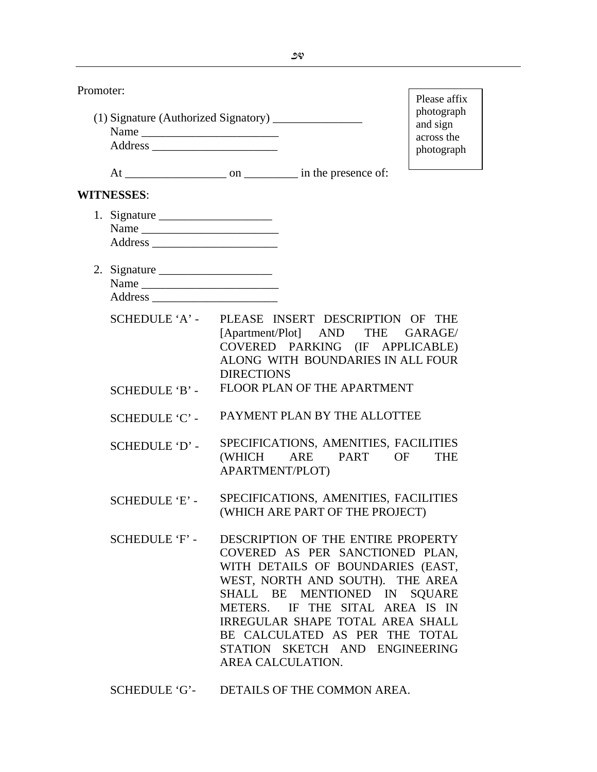| Promoter: |                                                                         |                   |                                                                                                                                                                                                                                                                                                                           | Please affix                                       |
|-----------|-------------------------------------------------------------------------|-------------------|---------------------------------------------------------------------------------------------------------------------------------------------------------------------------------------------------------------------------------------------------------------------------------------------------------------------------|----------------------------------------------------|
|           |                                                                         |                   |                                                                                                                                                                                                                                                                                                                           | photograph<br>and sign<br>across the<br>photograph |
|           |                                                                         |                   |                                                                                                                                                                                                                                                                                                                           |                                                    |
|           | <b>WITNESSES:</b>                                                       |                   |                                                                                                                                                                                                                                                                                                                           |                                                    |
|           | 1. Signature $\_\_\_\_\_\_\_\_\_\_\_\_\_\_\_\_\_\_\_\_\_$               |                   |                                                                                                                                                                                                                                                                                                                           |                                                    |
|           | 2. Signature $\frac{1}{\sqrt{1-\frac{1}{2}} \cdot \frac{1}{2}}$<br>Name |                   |                                                                                                                                                                                                                                                                                                                           |                                                    |
|           | SCHEDULE 'A' -                                                          | <b>DIRECTIONS</b> | PLEASE INSERT DESCRIPTION OF THE<br>[Apartment/Plot] AND THE GARAGE/<br>COVERED PARKING (IF APPLICABLE)<br>ALONG WITH BOUNDARIES IN ALL FOUR                                                                                                                                                                              |                                                    |
|           | <b>SCHEDULE 'B' -</b>                                                   |                   | FLOOR PLAN OF THE APARTMENT                                                                                                                                                                                                                                                                                               |                                                    |
|           | SCHEDULE 'C' -                                                          |                   | PAYMENT PLAN BY THE ALLOTTEE                                                                                                                                                                                                                                                                                              |                                                    |
|           | SCHEDULE 'D' -                                                          | APARTMENT/PLOT)   | SPECIFICATIONS, AMENITIES, FACILITIES<br>(WHICH ARE PART OF                                                                                                                                                                                                                                                               | <b>THE</b>                                         |
|           | <b>SCHEDULE 'E' -</b>                                                   |                   | SPECIFICATIONS, AMENITIES, FACILITIES<br>(WHICH ARE PART OF THE PROJECT)                                                                                                                                                                                                                                                  |                                                    |
|           | SCHEDULE 'F' -                                                          | AREA CALCULATION. | DESCRIPTION OF THE ENTIRE PROPERTY<br>COVERED AS PER SANCTIONED PLAN,<br>WITH DETAILS OF BOUNDARIES (EAST,<br>WEST, NORTH AND SOUTH). THE AREA<br>SHALL BE MENTIONED IN SQUARE<br>METERS. IF THE SITAL AREA IS IN<br>IRREGULAR SHAPE TOTAL AREA SHALL<br>BE CALCULATED AS PER THE TOTAL<br>STATION SKETCH AND ENGINEERING |                                                    |
|           | SCHEDULE 'G'-                                                           |                   | DETAILS OF THE COMMON AREA.                                                                                                                                                                                                                                                                                               |                                                    |